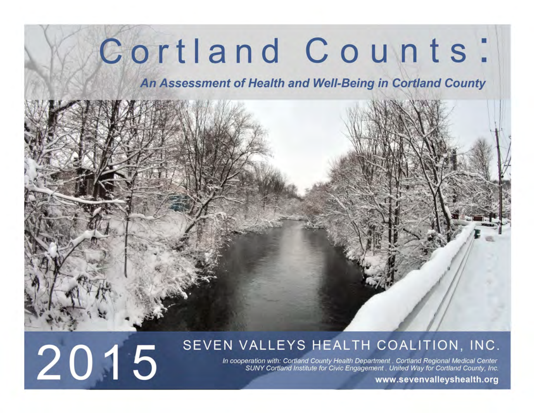# Cortland Counts:

An Assessment of Health and Well-Being in Cortland County



### SEVEN VALLEYS HEALTH COALITION, INC.

In cooperation with: Cortland County Health Department . Cortland Regional Medical Center SUNY Cortland Institute for Civic Engagement . United Way for Cortland County, Inc.

www.sevenvalleyshealth.org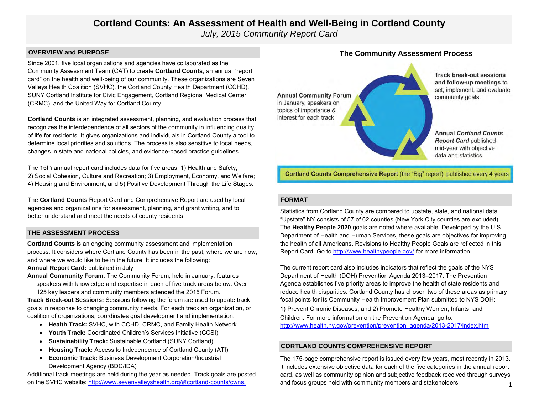### **Cortland Counts: An Assessment of Health and Well-Being in Cortland County** *July, 2015 Community Report Card*

#### **OVERVIEW and PURPOSE**

Since 2001, five local organizations and agencies have collaborated as the Community Assessment Team (CAT) to create **Cortland Counts**, an annual "report card" on the health and well-being of our community. These organizations are Seven Valleys Health Coalition (SVHC), the Cortland County Health Department (CCHD), SUNY Cortland Institute for Civic Engagement, Cortland Regional Medical Center (CRMC), and the United Way for Cortland County.

**Cortland Counts** is an integrated assessment, planning, and evaluation process that recognizes the interdependence of all sectors of the community in influencing quality of life for residents. It gives organizations and individuals in Cortland County a tool to determine local priorities and solutions. The process is also sensitive to local needs, changes in state and national policies, and evidence-based practice guidelines.

The 15th annual report card includes data for five areas: 1) Health and Safety; 2) Social Cohesion, Culture and Recreation; 3) Employment, Economy, and Welfare; 4) Housing and Environment; and 5) Positive Development Through the Life Stages.

The **Cortland Counts** Report Card and Comprehensive Report are used by local agencies and organizations for assessment, planning, and grant writing, and to better understand and meet the needs of county residents.

#### **THE ASSESSMENT PROCESS**

**Cortland Counts** is an ongoing community assessment and implementation process. It considers where Cortland County has been in the past, where we are now, and where we would like to be in the future. It includes the following:

#### **Annual Report Card:** published in July

**Annual Community Forum**: The Community Forum, held in January, features speakers with knowledge and expertise in each of five track areas below. Over 125 key leaders and community members attended the 2015 Forum.

**Track Break-out Sessions:** Sessions following the forum are used to update track goals in response to changing community needs. For each track an organization, or coalition of organizations, coordinates goal development and implementation:

- **Health Track:** SVHC, with CCHD, CRMC, and Family Health Network
- **Youth Track:** Coordinated Children's Services Initiative (CCSI)
- **Sustainability Track:** Sustainable Cortland (SUNY Cortland)
- **Housing Track:** Access to Independence of Cortland County (ATI)
- **Economic Track:** Business Development Corporation/Industrial Development Agency (BDC/IDA)

Additional track meetings are held during the year as needed. Track goals are posted on the SVHC website: [http://www.sevenvalleyshealth.org/#!cortland-counts/cwns.](http://www.sevenvalleyshealth.org/#!cortland-counts/cwns)

### **Track break-out sessions** and follow-up meetings to set, implement, and evaluate **Annual Community Forum** community goals in January, speakers on topics of importance & interest for each track **Annual Cortland Counts Report Card published** mid-year with objective data and statistics

Cortland Counts Comprehensive Report (the "Big" report), published every 4 years

#### **FORMAT**

Statistics from Cortland County are compared to upstate, state, and national data. "Upstate" NY consists of 57 of 62 counties (New York City counties are excluded). The **Healthy People 2020** goals are noted where available. Developed by the U.S. Department of Health and Human Services, these goals are objectives for improving the health of all Americans. Revisions to Healthy People Goals are reflected in this Report Card. Go to<http://www.healthypeople.gov/> for more information.

The current report card also includes indicators that reflect the goals of the NYS Department of Health (DOH) Prevention Agenda 2013–2017. The Prevention Agenda establishes five priority areas to improve the health of state residents and reduce health disparities. Cortland County has chosen two of these areas as primary focal points for its Community Health Improvement Plan submitted to NYS DOH: 1) Prevent Chronic Diseases, and 2) Promote Healthy Women, Infants, and Children. For more information on the Prevention Agenda, go to: [http://www.health.ny.gov/prevention/prevention\\_agenda/2013-2017/index.htm](http://www.health.ny.gov/prevention/prevention_agenda/2013-2017/index.htm)

#### **CORTLAND COUNTS COMPREHENSIVE REPORT**

The 175-page comprehensive report is issued every few years, most recently in 2013. It includes extensive objective data for each of the five categories in the annual report card, as well as community opinion and subjective feedback received through surveys and focus groups held with community members and stakeholders. **1**

### **The Community Assessment Process**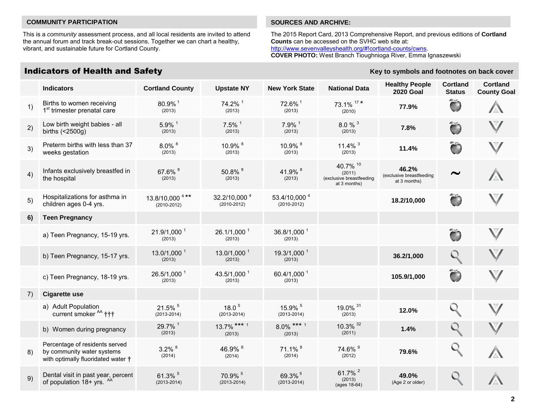#### **COMMUNITY PARTICIPATION SOURCES AND ARCHIVE:**

This is a *community* assessment process, and all local residents are invited to attend the annual forum and track break-out sessions. Together we can chart a healthy, vibrant, and sustainable future for Cortland County.

### Indicators of Health and Safety **Key to symbols and footnotes on back cover**

The 2015 Report Card, 2013 Comprehensive Report, and previous editions of **Cortland Counts** can be accessed on the SVHC web site at: [http://www.sevenvalleyshealth.org/#!cortland-counts/cwns.](http://www.sevenvalleyshealth.org/#!cortland-counts/cwns) **COVER PHOTO:** West Branch Tioughnioga River, Emma Ignaszewski

|    | Mundalors of Hoalth and Oalcty                                                                     |                                    |                                           | <b>Regional control of the Council</b> Control Cover |                                                                |                                                   |                                  |                                       |  |  |
|----|----------------------------------------------------------------------------------------------------|------------------------------------|-------------------------------------------|------------------------------------------------------|----------------------------------------------------------------|---------------------------------------------------|----------------------------------|---------------------------------------|--|--|
|    | <b>Indicators</b>                                                                                  | <b>Cortland County</b>             | <b>Upstate NY</b>                         | <b>New York State</b>                                | <b>National Data</b>                                           | <b>Healthy People</b><br><b>2020 Goal</b>         | <b>Cortland</b><br><b>Status</b> | <b>Cortland</b><br><b>County Goal</b> |  |  |
| 1) | Births to women receiving<br>1 <sup>st</sup> trimester prenatal care                               | 80.9%1<br>(2013)                   | 74.2% 1<br>(2013)                         | 72.6% 1<br>(2013)                                    | 73.1% $17*$<br>(2010)                                          | 77.9%                                             | Ö                                |                                       |  |  |
| 2) | Low birth weight babies - all<br>births $($ < $2500g)$                                             | $5.9\%$ <sup>1</sup><br>(2013)     | $7.5\%$ <sup>1</sup><br>(2013)            | $7.9\%$ <sup>1</sup><br>(2013)                       | $8.0 \%$ <sup>3</sup><br>(2013)                                | 7.8%                                              | Ď                                | $\boldsymbol{\mathbb{V}}$             |  |  |
| 3) | Preterm births with less than 37<br>weeks gestation                                                | $8.0\%$ $8$<br>(2013)              | 10.9% 8<br>(2013)                         | 10.9% 8<br>(2013)                                    | 11.4% $3$<br>(2013)                                            | 11.4%                                             | Õ                                | $\bigvee$                             |  |  |
| 4) | Infants exclusively breastfed in<br>the hospital                                                   | 67.6% 8<br>(2013)                  | 50.8% 8<br>(2013)                         | 41.9% 8<br>(2013)                                    | 40.7% 10<br>(2011)<br>(exclusive breastfeeding<br>at 3 months) | 46.2%<br>(exclusive breastfeeding<br>at 3 months) | $\tilde{\phantom{a}}$            |                                       |  |  |
| 5) | Hospitalizations for asthma in<br>children ages 0-4 yrs.                                           | 13.8/10,000 4**<br>$(2010 - 2012)$ | 32.2/10,000 <sup>4</sup><br>$(2010-2012)$ | 53.4/10,000 <sup>4</sup><br>$(2010 - 2012)$          |                                                                | 18.2/10,000                                       | Õ                                |                                       |  |  |
| 6) | <b>Teen Pregnancy</b>                                                                              |                                    |                                           |                                                      |                                                                |                                                   |                                  |                                       |  |  |
|    | a) Teen Pregnancy, 15-19 yrs.                                                                      | 21.9/1,000 <sup>1</sup><br>(2013)  | 26.1/1,000 <sup>1</sup><br>(2013)         | 36.8/1,000 1<br>(2013)                               |                                                                |                                                   | Ö                                | $\boldsymbol{\mathbb{V}}$             |  |  |
|    | b) Teen Pregnancy, 15-17 yrs.                                                                      | $13.0/1,000^1$<br>(2013)           | $13.0/1,000^1$<br>(2013)                  | 19.3/1,000 <sup>1</sup><br>(2013)                    |                                                                | 36.2/1,000                                        |                                  |                                       |  |  |
|    | c) Teen Pregnancy, 18-19 yrs.                                                                      | 26.5/1,000 <sup>1</sup><br>(2013)  | 43.5/1,000 1<br>(2013)                    | 60.4/1,000 <sup>1</sup><br>(2013)                    |                                                                | 105.9/1,000                                       | Ö                                |                                       |  |  |
| 7) | <b>Cigarette use</b>                                                                               |                                    |                                           |                                                      |                                                                |                                                   |                                  |                                       |  |  |
|    | a) Adult Population<br>current smoker <sup>AA</sup> †††                                            | 21.5% 5<br>$(2013 - 2014)$         | 18.0 <sup>5</sup><br>$(2013 - 2014)$      | 15.9% 5<br>$(2013 - 2014)$                           | 19.0% 31<br>(2013)                                             | 12.0%                                             |                                  |                                       |  |  |
|    | b) Women during pregnancy                                                                          | 29.7% 1<br>(2013)                  | $13.7\%$ *** 1<br>(2013)                  | $8.0\%$ *** 1<br>(2013)                              | 10.3% 32<br>(2011)                                             | 1.4%                                              |                                  |                                       |  |  |
| 8) | Percentage of residents served<br>by community water systems<br>with optimally fluoridated water † | $3.2\%$ $8$<br>(2014)              | 46.9% 8<br>(2014)                         | 71.1% <sup>8</sup><br>(2014)                         | 74.6% 9<br>(2012)                                              | 79.6%                                             | $\mathcal{Q}_i$                  |                                       |  |  |
| 9) | Dental visit in past year, percent<br>of population 18+ yrs. <sup>AA</sup>                         | 61.3% 5<br>$(2013 - 2014)$         | 70.9% 5<br>$(2013 - 2014)$                | 69.3% <sup>5</sup><br>$(2013 - 2014)$                | 61.7% <sup>2</sup><br>(2013)<br>(ages 18-64)                   | 49.0%<br>(Age 2 or older)                         |                                  |                                       |  |  |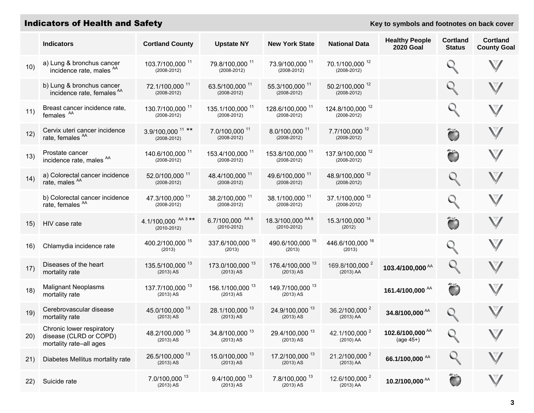### **Indicators of Health and Safety Key to symbols and footnotes on back cover Key to symbols and footnotes on back cover**

|      | <b>Indicators</b>                                                                  | <b>Cortland County</b>                          | <b>Upstate NY</b>                              | <b>New York State</b>                          | <b>National Data</b>                           | <b>Healthy People</b><br><b>2020 Goal</b>  | <b>Cortland</b><br><b>Status</b> | <b>Cortland</b><br><b>County Goal</b> |
|------|------------------------------------------------------------------------------------|-------------------------------------------------|------------------------------------------------|------------------------------------------------|------------------------------------------------|--------------------------------------------|----------------------------------|---------------------------------------|
| 10)  | a) Lung & bronchus cancer<br>incidence rate, males <sup>AA</sup>                   | 103.7/100,000 <sup>11</sup><br>$(2008 - 2012)$  | 79.8/100,000 11<br>$(2008 - 2012)$             | 73.9/100,000 11<br>$(2008 - 2012)$             | 70.1/100,000 <sup>12</sup><br>$(2008 - 2012)$  |                                            |                                  | $\bigvee$                             |
|      | b) Lung & bronchus cancer<br>incidence rate, females <sup>AA</sup>                 | 72.1/100,000 <sup>11</sup><br>$(2008 - 2012)$   | 63.5/100,000 11<br>$(2008 - 2012)$             | 55.3/100,000 11<br>$(2008 - 2012)$             | 50.2/100,000 <sup>12</sup><br>$(2008 - 2012)$  |                                            |                                  | $\boldsymbol{\mathbb{V}}$             |
| 11)  | Breast cancer incidence rate,<br>females <sup>AA</sup>                             | 130.7/100,000 <sup>11</sup><br>$(2008 - 2012)$  | 135.1/100,000 <sup>11</sup><br>$(2008 - 2012)$ | 128.6/100,000 <sup>11</sup><br>$(2008 - 2012)$ | 124.8/100,000 <sup>12</sup><br>$(2008 - 2012)$ |                                            |                                  | $\boldsymbol{\mathbb{V}}$             |
| 12)  | Cervix uteri cancer incidence<br>rate, females <sup>AA</sup>                       | 3.9/100,000 <sup>11 **</sup><br>$(2008 - 2012)$ | 7.0/100,000 <sup>11</sup><br>$(2008 - 2012)$   | 8.0/100,000 <sup>11</sup><br>$(2008 - 2012)$   | 7.7/100,000 12<br>$(2008 - 2012)$              |                                            | Õ                                |                                       |
| 13)  | Prostate cancer<br>incidence rate, males <sup>AA</sup>                             | 140.6/100,000 <sup>11</sup><br>$(2008 - 2012)$  | 153.4/100,000 <sup>11</sup><br>$(2008 - 2012)$ | 153.8/100,000 <sup>11</sup><br>$(2008 - 2012)$ | 137.9/100,000 <sup>12</sup><br>$(2008 - 2012)$ |                                            | Õ                                | $\bigvee$                             |
| 14)  | a) Colorectal cancer incidence<br>rate, males <sup>AA</sup>                        | 52.0/100,000 <sup>11</sup><br>$(2008 - 2012)$   | 48.4/100,000 <sup>11</sup><br>$(2008 - 2012)$  | 49.6/100,000 <sup>11</sup><br>$(2008 - 2012)$  | 48.9/100,000 <sup>12</sup><br>$(2008 - 2012)$  |                                            |                                  | $\bigvee$                             |
|      | b) Colorectal cancer incidence<br>rate, females <sup>AA</sup>                      | 47.3/100,000 <sup>11</sup><br>$(2008 - 2012)$   | 38.2/100,000 <sup>11</sup><br>$(2008 - 2012)$  | 38.1/100,000 <sup>11</sup><br>$(2008 - 2012)$  | 37.1/100,000 <sup>12</sup><br>$(2008 - 2012)$  |                                            |                                  | $\boldsymbol{\mathbb{V}}$             |
| 15)  | HIV case rate                                                                      | 4.1/100,000 AA 8 **<br>$(2010 - 2012)$          | 6.7/100,000 AA 8<br>$(2010 - 2012)$            | 18.3/100,000 AA 8<br>$(2010 - 2012)$           | 15.3/100,000 14<br>(2012)                      |                                            |                                  | V                                     |
| 16)  | Chlamydia incidence rate                                                           | 400.2/100,000 15<br>(2013)                      | 337.6/100,000 15<br>(2013)                     | 490.6/100,000 15<br>(2013)                     | 446.6/100,000 16<br>(2013)                     |                                            |                                  | $\boldsymbol{\mathbb{V}}$             |
| 17)  | Diseases of the heart<br>mortality rate                                            | 135.5/100,000 13<br>$(2013)$ AS                 | 173.0/100,000 13<br>$(2013)$ AS                | 176.4/100,000 <sup>13</sup><br>$(2013)$ AS     | 169.8/100,000 <sup>2</sup><br>$(2013)$ AA      | 103.4/100,000 <sup>AA</sup>                |                                  | $\bigvee$                             |
| 18)  | <b>Malignant Neoplasms</b><br>mortality rate                                       | 137.7/100,000 <sup>13</sup><br>$(2013)$ AS      | 156.1/100,000 <sup>13</sup><br>(2013) AS       | 149.7/100,000 <sup>13</sup><br>$(2013)$ AS     |                                                | 161.4/100,000 <sup>AA</sup>                | Ö                                | $\boldsymbol{\mathbb{V}}$             |
| 19)  | Cerebrovascular disease<br>mortality rate                                          | 45.0/100,000 13<br>$(2013)$ AS                  | 28.1/100,000 13<br>$(2013)$ AS                 | 24.9/100,000 13<br>$(2013)$ AS                 | 36.2/100,000 <sup>2</sup><br>$(2013)$ AA       | 34.8/100,000 <sup>AA</sup>                 |                                  | V                                     |
|      | Chronic lower respiratory<br>20) disease (CLRD or COPD)<br>mortality rate-all ages | 48.2/100,000 13<br>$(2013)$ AS                  | 34.8/100,000 13<br>$(2013)$ AS                 | 29.4/100,000 13<br>$(2013)$ AS                 | 42.1/100,000 <sup>2</sup><br>(2010) AA         | 102.6/100,000 <sup>AA</sup><br>$(age 45+)$ | $\bigcirc$                       | $\blacktriangledown$                  |
| 21)  | Diabetes Mellitus mortality rate                                                   | 26.5/100,000 13<br>$(2013)$ AS                  | 15.0/100,000 13<br>$(2013)$ AS                 | 17.2/100,000 13<br>$(2013)$ AS                 | 21.2/100,000 <sup>2</sup><br>$(2013)$ AA       | 66.1/100,000 AA                            |                                  |                                       |
| (22) | Suicide rate                                                                       | 7.0/100,000 13<br>$(2013)$ AS                   | $9.4/100,000^{13}$<br>$(2013)$ AS              | 7.8/100,000 <sup>13</sup><br>$(2013)$ AS       | 12.6/100,000 <sup>2</sup><br>$(2013)$ AA       | 10.2/100,000 $^{AA}$                       |                                  |                                       |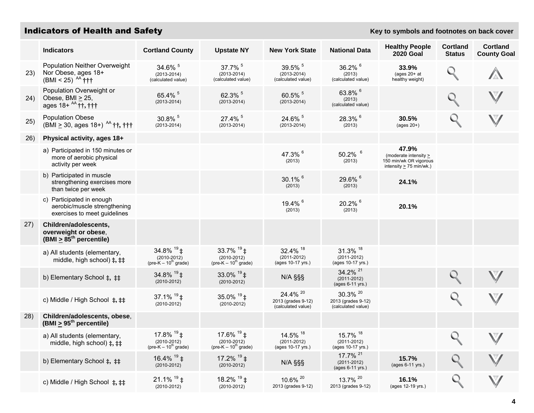### **Indicators of Health and Safety Key to symbols and footnotes on back cover**

|      | <b>Indicators</b>                                                                                                | <b>Cortland County</b>                                                | <b>Upstate NY</b>                                                                          | <b>New York State</b>                                           | <b>National Data</b>                                       | <b>Healthy People</b><br><b>2020 Goal</b>                                                     | <b>Cortland</b><br><b>Status</b> | <b>Cortland</b><br><b>County Goal</b> |
|------|------------------------------------------------------------------------------------------------------------------|-----------------------------------------------------------------------|--------------------------------------------------------------------------------------------|-----------------------------------------------------------------|------------------------------------------------------------|-----------------------------------------------------------------------------------------------|----------------------------------|---------------------------------------|
| 23)  | Population Neither Overweight<br>Nor Obese, ages 18+<br>(BMI < 25) <sup>AA</sup> $\dagger \dagger \dagger$       | 34.6% 5<br>$(2013 - 2014)$<br>(calculated value)                      | 37.7% 5<br>$(2013 - 2014)$<br>(calculated value)                                           | 39.5% 5<br>$(2013 - 2014)$<br>(calculated value)                | 36.2% 6<br>(2013)<br>(calculated value)                    | 33.9%<br>(ages $20+at$<br>healthy weight)                                                     |                                  |                                       |
| 24)  | Population Overweight or<br>Obese, BMI $\geq$ 25,<br>ages $18+ ^{AA}$ ††, †††                                    | 65.4% 5<br>$(2013 - 2014)$                                            | 62.3% 5<br>$(2013 - 2014)$                                                                 | 60.5% 5<br>$(2013 - 2014)$                                      | 63.8% 6<br>(2013)<br>(calculated value)                    |                                                                                               |                                  |                                       |
| 25)  | <b>Population Obese</b><br>(BMI $\geq$ 30, ages 18+) <sup>AA</sup> $\dagger \dagger$ , $\dagger \dagger \dagger$ | 30.8% 5<br>$(2013 - 2014)$                                            | 27.4% 5<br>$(2013 - 2014)$                                                                 | 24.6% 5<br>$(2013 - 2014)$                                      | 28.3% 6<br>(2013)                                          | 30.5%<br>(ages $20+$ )                                                                        |                                  |                                       |
| 26)  | Physical activity, ages 18+                                                                                      |                                                                       |                                                                                            |                                                                 |                                                            |                                                                                               |                                  |                                       |
|      | a) Participated in 150 minutes or<br>more of aerobic physical<br>activity per week                               |                                                                       |                                                                                            | 47.3% 6<br>(2013)                                               | $50.2\%$ <sup>6</sup><br>(2013)                            | 47.9%<br>(moderate intensity $\geq$<br>150 min/wk OR vigorous<br>intensity $\geq$ 75 min/wk.) |                                  |                                       |
|      | b) Participated in muscle<br>strengthening exercises more<br>than twice per week                                 |                                                                       |                                                                                            | 30.1% 6<br>(2013)                                               | 29.6% 6<br>(2013)                                          | 24.1%                                                                                         |                                  |                                       |
|      | c) Participated in enough<br>aerobic/muscle strengthening<br>exercises to meet guidelines                        |                                                                       |                                                                                            | 19.4% 6<br>(2013)                                               | 20.2% 6<br>(2013)                                          | 20.1%                                                                                         |                                  |                                       |
| (27) | Children/adolescents,<br>overweight or obese,<br>(BMI $\geq$ 85 <sup>th</sup> percentile)                        |                                                                       |                                                                                            |                                                                 |                                                            |                                                                                               |                                  |                                       |
|      | a) All students (elementary,<br>middle, high school) $\ddagger$ , $\ddagger\ddagger$                             | 34.8% $19 + 19$<br>$(2010 - 2012)$<br>(pre-K $-10^{\text{th}}$ grade) | 33.7% $19 + 19$<br>$(2010 - 2012)$<br>$(\text{pre-K} - 10^{\text{m}} \text{ grade})$       | 32.4% 18<br>$(2011 - 2012)$<br>(ages 10-17 yrs.)                | 31.3% 18<br>$(2011 - 2012)$<br>(ages 10-17 yrs.)           |                                                                                               |                                  |                                       |
|      | b) Elementary School ‡, ‡‡                                                                                       | 34.8% $19$ ‡<br>$(2010 - 2012)$                                       | 33.0% $19 \div 1$<br>$(2010 - 2012)$                                                       | N/A §§§                                                         | 34.2% <sup>21</sup><br>$(2011 - 2012)$<br>(ages 6-11 yrs.) |                                                                                               |                                  |                                       |
|      | c) Middle / High School $\ddagger$ , $\ddagger\ddagger$                                                          | 37.1% $19 \pm 19$<br>$(2010 - 2012)$                                  | 35.0% $19 + 19$<br>$(2010 - 2012)$                                                         | 24.4% <sup>20</sup><br>2013 (grades 9-12)<br>(calculated value) | 30.3% 20<br>2013 (grades 9-12)<br>(calculated value)       |                                                                                               |                                  |                                       |
| 28)  | Children/adolescents, obese,<br>(BMI $\geq$ 95 <sup>th</sup> percentile)                                         |                                                                       |                                                                                            |                                                                 |                                                            |                                                                                               |                                  |                                       |
|      | a) All students (elementary,<br>middle, high school) $\ddagger$ , $\ddagger\ddagger$                             | 17.8% $19 + 19$<br>$(2010 - 2012)$<br>(pre-K $-10^{\text{th}}$ grade) | 17.6% <sup>19</sup> ‡<br>$(2010 - 2012)$<br>$(\text{pre-K} - 10^{\text{m}} \text{ grade})$ | 14.5% 18<br>$(2011 - 2012)$<br>(ages 10-17 yrs.)                | 15.7% 18<br>$(2011 - 2012)$<br>(ages 10-17 yrs.)           |                                                                                               |                                  |                                       |
|      | b) Elementary School ‡, ‡‡                                                                                       | 16.4% $19$ ±<br>$(2010 - 2012)$                                       | 17.2% $19 + 12$<br>$(2010 - 2012)$                                                         | N/A §§§                                                         | 17.7% <sup>21</sup><br>$(2011 - 2012)$<br>(ages 6-11 yrs.) | 15.7%<br>(ages 6-11 yrs.)                                                                     |                                  |                                       |
|      | c) Middle / High School $\ddagger$ , $\ddagger\ddagger$                                                          | $21.1\%$ <sup>19</sup> ‡<br>$(2010 - 2012)$                           | 18.2% $19$ ‡<br>$(2010 - 2012)$                                                            | 10.6% 20<br>2013 (grades 9-12)                                  | 13.7% <sup>20</sup><br>2013 (grades 9-12)                  | 16.1%<br>(ages 12-19 yrs.)                                                                    | $\mathbb{Q}$                     |                                       |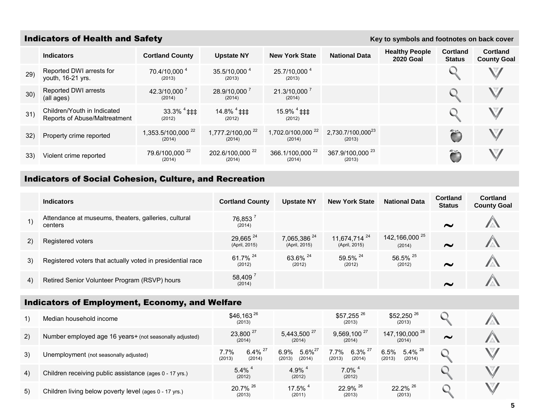### **Indicators of Health and Safety Key to symbols and footnotes on back cover Key to symbols and footnotes on back cover**

|     | <b>Indicators</b>                                            | <b>Cortland County</b>                  | <b>Upstate NY</b>                      | <b>New York State</b>                   | <b>National Data</b>                    | <b>Healthy People</b><br><b>2020 Goal</b> | <b>Cortland</b><br><b>Status</b> | Cortland<br><b>County Goal</b> |
|-----|--------------------------------------------------------------|-----------------------------------------|----------------------------------------|-----------------------------------------|-----------------------------------------|-------------------------------------------|----------------------------------|--------------------------------|
| 29) | Reported DWI arrests for<br>youth, 16-21 yrs.                | 70.4/10,000 <sup>4</sup><br>(2013)      | 35.5/10,000 4<br>(2013)                | 25.7/10,000 <sup>4</sup><br>(2013)      |                                         |                                           |                                  |                                |
| 30) | Reported DWI arrests<br>(all ages)                           | 42.3/10,000 7<br>(2014)                 | 28.9/10,000 7<br>(2014)                | 21.3/10,000 7<br>(2014)                 |                                         |                                           |                                  |                                |
| 31) | Children/Youth in Indicated<br>Reports of Abuse/Maltreatment | $33.3\%$ <sup>4</sup> ‡‡‡<br>(2012)     | $14.8\%$ <sup>4</sup> ‡‡‡<br>(2012)    | $15.9\%$ <sup>4</sup> ‡‡‡<br>(2012)     |                                         |                                           |                                  |                                |
| 32) | Property crime reported                                      | 1,353.5/100,000 <sup>22</sup><br>(2014) | 1,777.2/100,00 <sup>22</sup><br>(2014) | 1,702.0/100,000 <sup>22</sup><br>(2014) | 2,730.7/100,000 <sup>23</sup><br>(2013) |                                           |                                  |                                |
| 33) | Violent crime reported                                       | 79.6/100,000 <sup>22</sup><br>(2014)    | 202.6/100,000 <sup>22</sup><br>(2014)  | 366.1/100,000 <sup>22</sup><br>(2014)   | 367.9/100,000 <sup>23</sup><br>(2013)   |                                           |                                  |                                |

### Indicators of Social Cohesion, Culture, and Recreation

|    | <b>Indicators</b>                                               | <b>Cortland County</b>                | <b>Upstate NY</b>                        | <b>New York State</b>                     | <b>National Data</b>                | <b>Cortland</b><br><b>Status</b> | <b>Cortland</b><br><b>County Goal</b> |
|----|-----------------------------------------------------------------|---------------------------------------|------------------------------------------|-------------------------------------------|-------------------------------------|----------------------------------|---------------------------------------|
| 1) | Attendance at museums, theaters, galleries, cultural<br>centers | 76,853 <sup>7</sup><br>(2014)         |                                          |                                           |                                     | $\sim$                           |                                       |
| 2) | Registered voters                                               | 29,665 <sup>24</sup><br>(April, 2015) | 7,065,386 <sup>24</sup><br>(April, 2015) | 11,674,714 <sup>24</sup><br>(April, 2015) | 142,166,000 <sup>25</sup><br>(2014) | $\sim$                           |                                       |
| 3) | Registered voters that actually voted in presidential race      | 61.7% <sup>24</sup><br>(2012)         | 63.6% 24<br>(2012)                       | 59.5% 24<br>(2012)                        | 56.5% 25<br>(2012)                  | $\sim$                           |                                       |
| 4) | Retired Senior Volunteer Program (RSVP) hours                   | 58,4097<br>(2014)                     |                                          |                                           |                                     | $\sim$                           |                                       |

### Indicators of Employment, Economy, and Welfare

|    | Median household income                                 | $$46,163^{26}$<br>(2013)                          |                                          | \$57,255 26<br>(2013)                             | $$52,250$ <sup>26</sup><br>(2013)           |        |  |
|----|---------------------------------------------------------|---------------------------------------------------|------------------------------------------|---------------------------------------------------|---------------------------------------------|--------|--|
| 2) | Number employed age 16 years+ (not seasonally adjusted) | 23,800 <sup>27</sup><br>(2014)                    | 5,443,500 <sup>27</sup><br>(2014)        | $9,569,100^{27}$<br>(2014)                        | 147,190,000 <sup>28</sup><br>(2014)         | $\sim$ |  |
| 3) | Unemployment (not seasonally adjusted)                  | $6.4\%$ <sup>27</sup><br>7.7%<br>(2013)<br>(2014) | $5.6\%^{27}$<br>6.9%<br>(2013)<br>(2014) | $6.3\%$ <sup>27</sup><br>7.7%<br>(2014)<br>(2013) | $5.4\%$ $^{28}$<br>6.5%<br>(2013)<br>(2014) |        |  |
| 4) | Children receiving public assistance (ages 0 - 17 yrs.) | $5.4\%$ <sup>4</sup><br>(2012)                    | 4.9% $^{4}$<br>(2012)                    | $7.0\%$ <sup>4</sup><br>(2012)                    |                                             |        |  |
| 5) | Children living below poverty level (ages 0 - 17 yrs.)  | $20.7\%$ <sup>26</sup><br>(2013)                  | $17.5\%$<br>(2011)                       | 22.9% 26<br>(2013)                                | $22.2\%$ <sup>26</sup><br>(2013)            |        |  |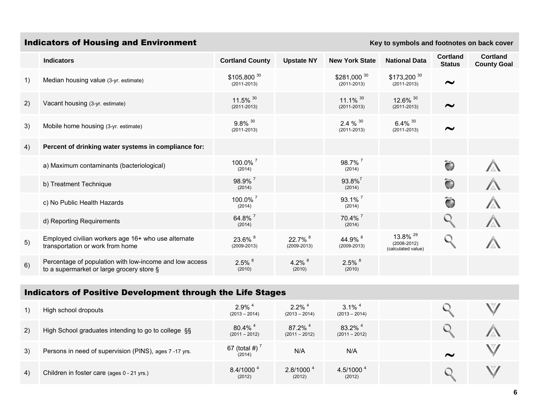## **Indicators of Housing and Environment Key to symbols and footnotes on back cover**

|    | <b>Indicators</b>                                                                                    | <b>Cortland County</b>                   | <b>Upstate NY</b>          | <b>New York State</b>                     | <b>National Data</b>                                         | <b>Cortland</b><br><b>Status</b> | <b>Cortland</b><br><b>County Goal</b> |
|----|------------------------------------------------------------------------------------------------------|------------------------------------------|----------------------------|-------------------------------------------|--------------------------------------------------------------|----------------------------------|---------------------------------------|
| 1) | Median housing value (3-yr. estimate)                                                                | \$105,800 30<br>$(2011 - 2013)$          |                            | \$281,000 30<br>$(2011 - 2013)$           | \$173,200 30<br>$(2011 - 2013)$                              | $\sim$                           |                                       |
| 2) | Vacant housing (3-yr. estimate)                                                                      | 11.5% 30<br>$(2011 - 2013)$              |                            | $11.1\%$ <sup>30</sup><br>$(2011 - 2013)$ | 12.6% 30<br>$(2011 - 2013)$                                  | $\sim$                           |                                       |
| 3) | Mobile home housing (3-yr. estimate)                                                                 | $9.8\%$ <sup>30</sup><br>$(2011 - 2013)$ |                            | 2.4 $% ^{30}$<br>$(2011 - 2013)$          | $6.4\%$ <sup>30</sup><br>$(2011 - 2013)$                     | $\sim$                           |                                       |
| 4) | Percent of drinking water systems in compliance for:                                                 |                                          |                            |                                           |                                                              |                                  |                                       |
|    | a) Maximum contaminants (bacteriological)                                                            | $100.0\%$ <sup>7</sup><br>(2014)         |                            | $98.7\%$<br>(2014)                        |                                                              | Õ                                |                                       |
|    | b) Treatment Technique                                                                               | 98.9% <sup>7</sup><br>(2014)             |                            | $93.8\%$ <sup>7</sup><br>(2014)           |                                                              | Õ                                |                                       |
|    | c) No Public Health Hazards                                                                          | 100.0% <sup>7</sup><br>(2014)            |                            | $93.1\%$ <sup>7</sup><br>(2014)           |                                                              | ã                                |                                       |
|    | d) Reporting Requirements                                                                            | 64.8% <sup>7</sup><br>(2014)             |                            | 70.4% 7<br>(2014)                         |                                                              |                                  |                                       |
| 5) | Employed civilian workers age 16+ who use alternate<br>transportation or work from home              | 23.6% 8<br>$(2009 - 2013)$               | 22.7% 8<br>$(2009 - 2013)$ | 44.9% 8<br>$(2009 - 2013)$                | 13.8% <sup>29</sup><br>$(2008 - 2012)$<br>(calculated value) |                                  |                                       |
| 6) | Percentage of population with low-income and low access<br>to a supermarket or large grocery store § | $2.5\%$ $8$<br>(2010)                    | 4.2% $8$<br>(2010)         | $2.5\%$ $8$<br>(2010)                     |                                                              |                                  |                                       |

### Indicators of Positive Development through the Life Stages

| 1) | High school dropouts                                  | $2.9\%$ <sup>4</sup><br>$(2013 - 2014)$  | $2.2\%$ <sup>4</sup><br>$(2013 - 2014)$  | $3.1\%$ <sup>4</sup><br>$(2013 - 2014)$  |        |  |
|----|-------------------------------------------------------|------------------------------------------|------------------------------------------|------------------------------------------|--------|--|
| 2) | High School graduates intending to go to college §§   | $80.4\%$ <sup>4</sup><br>$(2011 - 2012)$ | $87.2\%$ <sup>4</sup><br>$(2011 - 2012)$ | $83.2\%$ <sup>4</sup><br>$(2011 - 2012)$ |        |  |
| 3) | Persons in need of supervision (PINS), ages 7-17 yrs. | 67 (total #)<br>(2014)                   | N/A                                      | N/A                                      | $\sim$ |  |
| 4) | Children in foster care (ages 0 - 21 yrs.)            | $8.4/1000^{4}$<br>(2012)                 | $2.8/1000^{4}$<br>(2012)                 | 4.5/1000 $^{4}$<br>(2012)                |        |  |